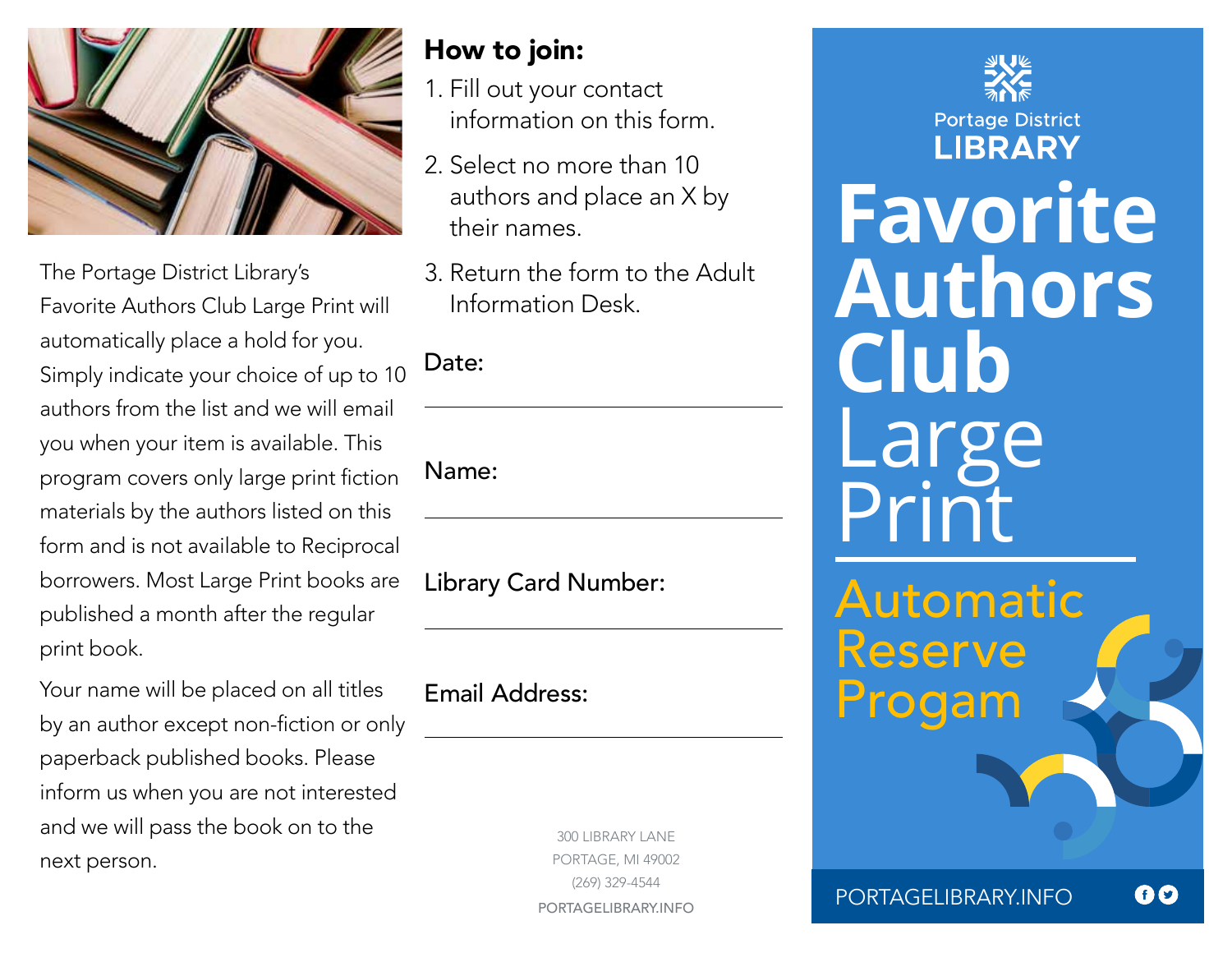

The Portage District Library's Favorite Authors Club Large Print will automatically place a hold for you. Simply indicate your choice of up to 10 authors from the list and we will email you when your item is available. This program covers only large print fiction materials by the authors listed on this form and is not available to Reciprocal borrowers. Most Large Print books are published a month after the regular print book.

Your name will be placed on all titles by an author except non-fiction or only paperback published books. Please inform us when you are not interested and we will pass the book on to the next person.

## How to join:

- 1. Fill out your contact information on this form.
- 2. Select no more than 10 authors and place an X by their names.
- 3. Return the form to the Adult Information Desk.

## Date:

Name:

Library Card Number:

Email Address:

300 LIBRARY LANE PORTAGE, MI 49002 (269) 329-4544 PORTAGELIBRARY.INFO

**Portage District LIBRARY Favorite Authors Club** Large Print

Automatic Reserve Progam